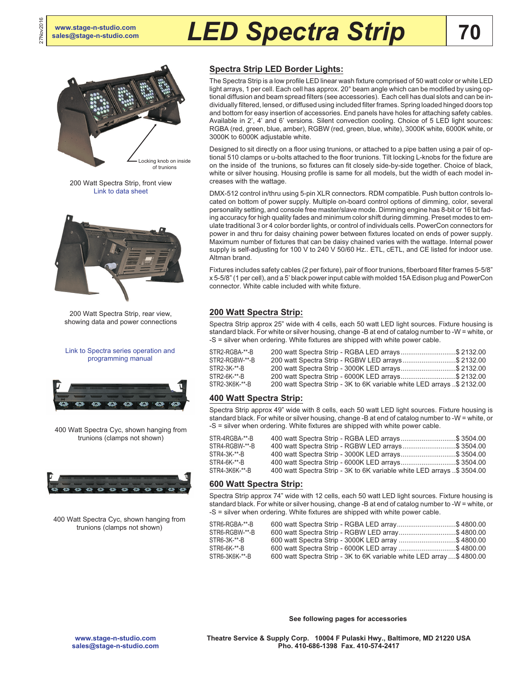27Nov2016

# **[sales@stage-n-studio.com](mailto:sales@stage-n-studio.com)** *LED Spectra Strip*



200 Watt Spectra Strip, front view [Link to data sheet](http://altmanlighting.com/wp-content/uploads/2016/04/SpectraStripData.pdf)



200 Watt Spectra Strip, rear view, showing data and power connections

#### [Link to Spectra series operation and](http://altmanlighting.com/wp-content/uploads/2016/04/AltmanSpectraSeriesProgrammingManual.pdf) [programming manual](http://altmanlighting.com/wp-content/uploads/2016/04/AltmanSpectraSeriesProgrammingManual.pdf)



400 Watt Spectra Cyc, shown hanging from trunions (clamps not shown)



400 Watt Spectra Cyc, shown hanging from trunions (clamps not shown)

# **Spectra Strip LED Border Lights:**

The Spectra Strip is a low profile LED linear wash fixture comprised of 50 watt color or white LED light arrays, 1 per cell. Each cell has approx. 20° beam angle which can be modified by using optional diffusion and beam spread filters (see accessories). Each cell has dual slots and can be individually filtered, lensed, or diffused using included filter frames. Spring loaded hinged doors top and bottom for easy insertion of accessories. End panels have holes for attaching safety cables. Available in 2', 4' and 6' versions. Silent convection cooling. Choice of 5 LED light sources: RGBA (red, green, blue, amber), RGBW (red, green, blue, white), 3000K white, 6000K white, or 3000K to 6000K adjustable white.

Designed to sit directly on a floor using trunions, or attached to a pipe batten using a pair of optional 510 clamps or u-bolts attached to the floor trunions. Tilt locking L-knobs for the fixture are on the inside of the trunions, so fixtures can fit closely side-by-side together. Choice of black, white or silver housing. Housing profile is same for all models, but the width of each model increases with the wattage.

DMX-512 control in/thru using 5-pin XLR connectors. RDM compatible. Push button controls located on bottom of power supply. Multiple on-board control options of dimming, color, several personality setting, and console free master/slave mode. Dimming engine has 8-bit or 16 bit fading accuracy for high quality fades and minimum color shift during dimming. Preset modes to emulate traditional 3 or 4 color border lights, or control of individuals cells. PowerCon connectors for power in and thru for daisy chaining power between fixtures located on ends of power supply. Maximum number of fixtures that can be daisy chained varies with the wattage. Internal power supply is self-adjusting for 100 V to 240 V 50/60 Hz.. ETL, cETL, and CE listed for indoor use. Altman brand.

Fixtures includes safety cables (2 per fixture), pair of floor trunions, fiberboard filter frames 5-5/8" x 5-5/8" (1 per cell), and a 5' black power input cable with molded 15A Edison plug and PowerCon connector. White cable included with white fixture.

## **200 Watt Spectra Strip:**

Spectra Strip approx 25" wide with 4 cells, each 50 watt LED light sources. Fixture housing is standard black. For white or silver housing, change -B at end of catalog number to -W = white, or -S = silver when ordering. White fixtures are shipped with white power cable.

| 200 watt Spectra Strip - RGBA LED arrays\$ 2132.00                       |  |
|--------------------------------------------------------------------------|--|
| 200 watt Spectra Strip - RGBW LED arrays\$ 2132.00                       |  |
| 200 watt Spectra Strip - 3000K LED arrays\$ 2132.00                      |  |
| 200 watt Spectra Strip - 6000K LED arrays\$ 2132.00                      |  |
| 200 watt Spectra Strip - 3K to 6K variable white LED arrays . \$ 2132.00 |  |
|                                                                          |  |

## **400 Watt Spectra Strip:**

Spectra Strip approx 49" wide with 8 cells, each 50 watt LED light sources. Fixture housing is standard black. For white or silver housing, change -B at end of catalog number to -W = white, or -S = silver when ordering. White fixtures are shipped with white power cable.

| STR-4RGBA-**-B | 400 watt Spectra Strip - RGBA LED arrays\$ 3504.00                     |  |
|----------------|------------------------------------------------------------------------|--|
| STR4-RGBW-**-B | 400 watt Spectra Strip - RGBW LED arrays\$ 3504.00                     |  |
| STR4-3K-**-B   | 400 watt Spectra Strip - 3000K LED arrays\$ 3504.00                    |  |
| STR4-6K-**-B   | 400 watt Spectra Strip - 6000K LED arrays\$ 3504.00                    |  |
| STR4-3K6K-**-B | 400 watt Spectra Strip - 3K to 6K variable white LED arrays \$ 3504.00 |  |

#### **600 Watt Spectra Strip:**

Spectra Strip approx 74" wide with 12 cells, each 50 watt LED light sources. Fixture housing is standard black. For white or silver housing, change -B at end of catalog number to -W = white, or -S = silver when ordering. White fixtures are shipped with white power cable.

| STR6-RGBA-**-B | 600 watt Spectra Strip - RGBA LED array\$ 4800.00                    |  |
|----------------|----------------------------------------------------------------------|--|
| STR6-RGBW-**-B | 600 watt Spectra Strip - RGBW LED array\$ 4800.00                    |  |
| STR6-3K-**-B   | 600 watt Spectra Strip - 3000K LED array \$ 4800.00                  |  |
| STR6-6K-**-B   | 600 watt Spectra Strip - 6000K LED array \$ 4800.00                  |  |
| STR6-3K6K-**-B | 600 watt Spectra Strip - 3K to 6K variable white LED array \$4800.00 |  |

**[www.stage-n-studio.com](http://www.stage-n-studio.com) [sales@stage-n-studio.com](mailto:sales@stage-n-studio.com)** **See following pages for accessories**